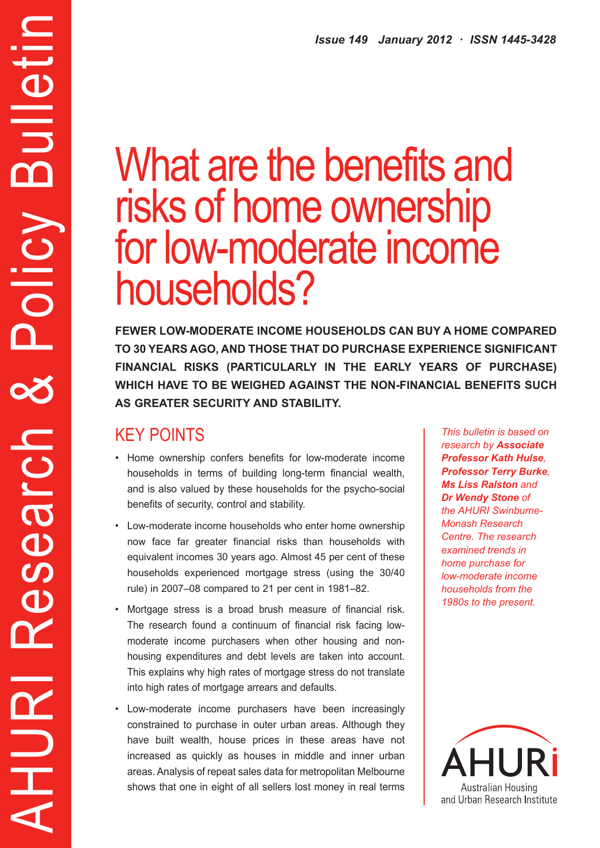# What are the benefits and risks of home ownership for low-moderate income households?

**FEWER LOW-MODERATE INCOME HOUSEHOLDS CAN BUY A HOME COMPARED TO 30 YEARS AGO, AND THOSE THAT DO PURCHASE EXPERIENCE SIGNIFICANT FINANCIAL RISKS (PARTICULARLY IN THE EARLY YEARS OF PURCHASE) WHICH HAVE TO BE WEIGHED AGAINST THE NON-FINANCIAL BENEFITS SUCH AS GREATER SECURITY AND STABILITY.**

## KEY POINTS

AHURI Research & Policy Bulletin

Search

a<br>R

HURI

X

alletir

m

Policy

- • Home ownership confers benefits for low-moderate income households in terms of building long-term financial wealth, and is also valued by these households for the psycho-social benefits of security, control and stability.
- • Low-moderate income households who enter home ownership now face far greater financial risks than households with equivalent incomes 30 years ago. Almost 45 per cent of these households experienced mortgage stress (using the 30/40 rule) in 2007–08 compared to 21 per cent in 1981–82.
- Mortgage stress is a broad brush measure of financial risk. The research found a continuum of financial risk facing lowmoderate income purchasers when other housing and nonhousing expenditures and debt levels are taken into account. This explains why high rates of mortgage stress do not translate into high rates of mortgage arrears and defaults.
- • Low-moderate income purchasers have been increasingly constrained to purchase in outer urban areas. Although they have built wealth, house prices in these areas have not increased as quickly as houses in middle and inner urban areas. Analysis of repeat sales data for metropolitan Melbourne shows that one in eight of all sellers lost money in real terms

*This bulletin is based on research by Associate Professor Kath Hulse, Professor Terry Burke, Ms Liss Ralston and Dr Wendy Stone of the AHURI Swinburne-Monash Research Centre. The research examined trends in home purchase for low-moderate income households from the 1980s to the present.*

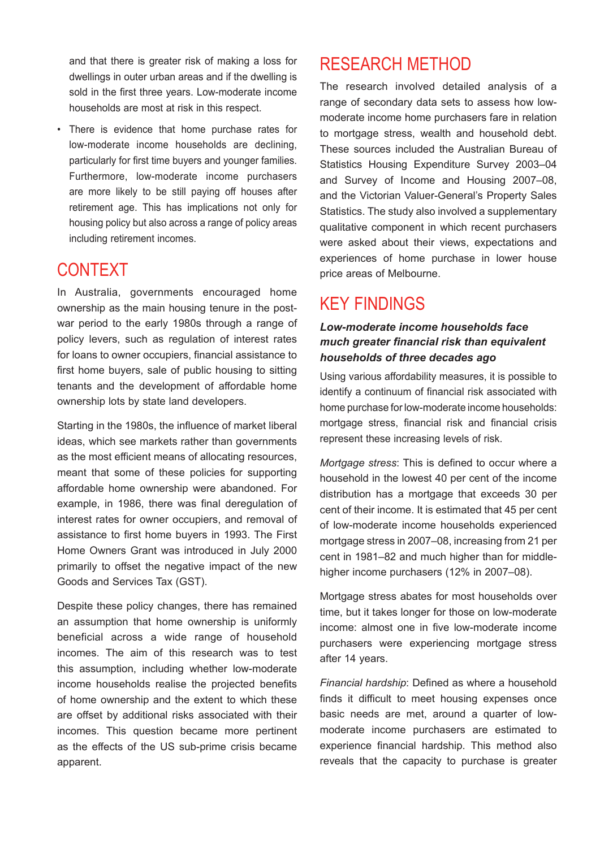and that there is greater risk of making a loss for dwellings in outer urban areas and if the dwelling is sold in the first three years. Low-moderate income households are most at risk in this respect.

• There is evidence that home purchase rates for low-moderate income households are declining, particularly for first time buyers and younger families. Furthermore, low-moderate income purchasers are more likely to be still paying off houses after retirement age. This has implications not only for housing policy but also across a range of policy areas including retirement incomes.

## CONTEXT

In Australia, governments encouraged home ownership as the main housing tenure in the postwar period to the early 1980s through a range of policy levers, such as regulation of interest rates for loans to owner occupiers, financial assistance to first home buyers, sale of public housing to sitting tenants and the development of affordable home ownership lots by state land developers.

Starting in the 1980s, the influence of market liberal ideas, which see markets rather than governments as the most efficient means of allocating resources, meant that some of these policies for supporting affordable home ownership were abandoned. For example, in 1986, there was final deregulation of interest rates for owner occupiers, and removal of assistance to first home buyers in 1993. The First Home Owners Grant was introduced in July 2000 primarily to offset the negative impact of the new Goods and Services Tax (GST).

Despite these policy changes, there has remained an assumption that home ownership is uniformly beneficial across a wide range of household incomes. The aim of this research was to test this assumption, including whether low-moderate income households realise the projected benefits of home ownership and the extent to which these are offset by additional risks associated with their incomes. This question became more pertinent as the effects of the US sub-prime crisis became apparent.

## RESEARCH METHOD

The research involved detailed analysis of a range of secondary data sets to assess how lowmoderate income home purchasers fare in relation to mortgage stress, wealth and household debt. These sources included the Australian Bureau of Statistics Housing Expenditure Survey 2003–04 and Survey of Income and Housing 2007–08, and the Victorian Valuer-General's Property Sales Statistics. The study also involved a supplementary qualitative component in which recent purchasers were asked about their views, expectations and experiences of home purchase in lower house price areas of Melbourne.

## KEY FINDINGS

#### *Low-moderate income households face much greater financial risk than equivalent households of three decades ago*

Using various affordability measures, it is possible to identify a continuum of financial risk associated with home purchase for low-moderate income households: mortgage stress, financial risk and financial crisis represent these increasing levels of risk.

*Mortgage stress*: This is defined to occur where a household in the lowest 40 per cent of the income distribution has a mortgage that exceeds 30 per cent of their income. It is estimated that 45 per cent of low-moderate income households experienced mortgage stress in 2007–08, increasing from 21 per cent in 1981–82 and much higher than for middlehigher income purchasers (12% in 2007–08).

Mortgage stress abates for most households over time, but it takes longer for those on low-moderate income: almost one in five low-moderate income purchasers were experiencing mortgage stress after 14 years.

*Financial hardship*: Defined as where a household finds it difficult to meet housing expenses once basic needs are met, around a quarter of lowmoderate income purchasers are estimated to experience financial hardship. This method also reveals that the capacity to purchase is greater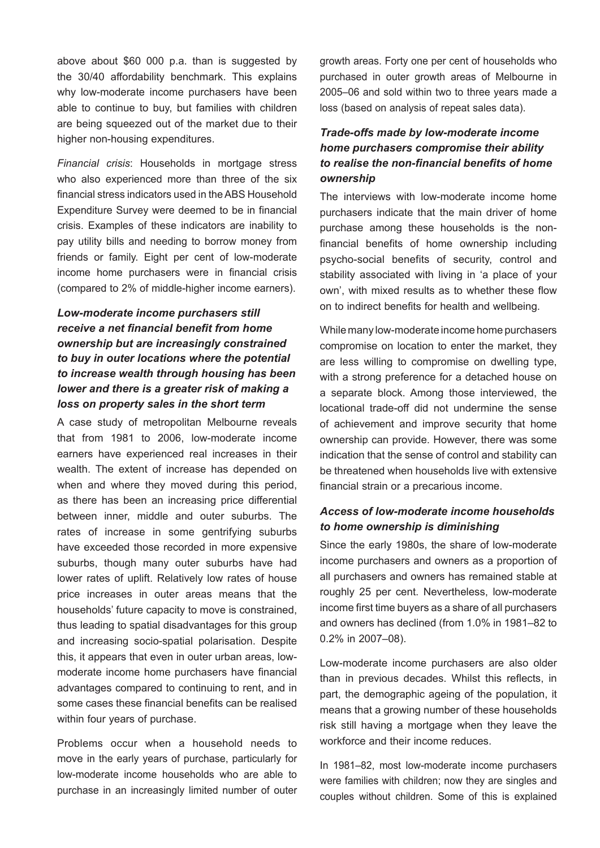above about \$60 000 p.a. than is suggested by the 30/40 affordability benchmark. This explains why low-moderate income purchasers have been able to continue to buy, but families with children are being squeezed out of the market due to their higher non-housing expenditures.

*Financial crisis*: Households in mortgage stress who also experienced more than three of the six financial stress indicators used in theABS Household Expenditure Survey were deemed to be in financial crisis. Examples of these indicators are inability to pay utility bills and needing to borrow money from friends or family. Eight per cent of low-moderate income home purchasers were in financial crisis (compared to 2% of middle-higher income earners).

#### *Low-moderate income purchasers still receive a net financial benefit from home ownership but are increasingly constrained to buy in outer locations where the potential to increase wealth through housing has been lower and there is a greater risk of making a loss on property sales in the short term*

A case study of metropolitan Melbourne reveals that from 1981 to 2006, low-moderate income earners have experienced real increases in their wealth. The extent of increase has depended on when and where they moved during this period, as there has been an increasing price differential between inner, middle and outer suburbs. The rates of increase in some gentrifying suburbs have exceeded those recorded in more expensive suburbs, though many outer suburbs have had lower rates of uplift. Relatively low rates of house price increases in outer areas means that the households' future capacity to move is constrained, thus leading to spatial disadvantages for this group and increasing socio-spatial polarisation. Despite this, it appears that even in outer urban areas, lowmoderate income home purchasers have financial advantages compared to continuing to rent, and in some cases these financial benefits can be realised within four years of purchase.

Problems occur when a household needs to move in the early years of purchase, particularly for low-moderate income households who are able to purchase in an increasingly limited number of outer growth areas. Forty one per cent of households who purchased in outer growth areas of Melbourne in 2005–06 and sold within two to three years made a loss (based on analysis of repeat sales data).

#### *Trade-offs made by low-moderate income home purchasers compromise their ability to realise the non-financial benefits of home ownership*

The interviews with low-moderate income home purchasers indicate that the main driver of home purchase among these households is the nonfinancial benefits of home ownership including psycho-social benefits of security, control and stability associated with living in 'a place of your own', with mixed results as to whether these flow on to indirect benefits for health and wellbeing.

While many low-moderate income home purchasers compromise on location to enter the market, they are less willing to compromise on dwelling type, with a strong preference for a detached house on a separate block. Among those interviewed, the locational trade-off did not undermine the sense of achievement and improve security that home ownership can provide. However, there was some indication that the sense of control and stability can be threatened when households live with extensive financial strain or a precarious income.

#### *Access of low-moderate income households to home ownership is diminishing*

Since the early 1980s, the share of low-moderate income purchasers and owners as a proportion of all purchasers and owners has remained stable at roughly 25 per cent. Nevertheless, low-moderate income first time buyers as a share of all purchasers and owners has declined (from 1.0% in 1981–82 to 0.2% in 2007–08).

Low-moderate income purchasers are also older than in previous decades. Whilst this reflects, in part, the demographic ageing of the population, it means that a growing number of these households risk still having a mortgage when they leave the workforce and their income reduces.

In 1981–82, most low-moderate income purchasers were families with children; now they are singles and couples without children. Some of this is explained